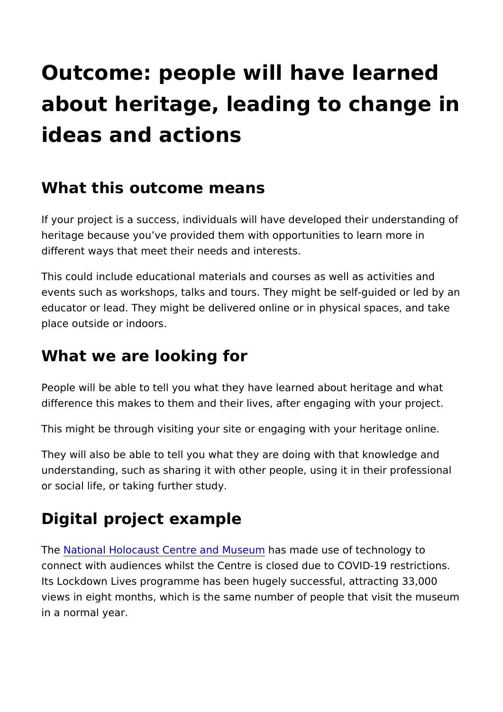## Outcome: people will have learn about heritage, leading to chang ideas and actions

## What this outcome means

If your project is a success, individuals will have developed the heritage because you ve provided them with opportunities to learn more in the more in more in the independent different ways that meet their needs and interests.

This could include educational materials and courses as well as events such as workshops, talks and tours. They might be selfeducator or lead. They might be delivered online or in physical place outside or indoors.

## What we are looking for

People will be able to tell you what they have learned about he difference this makes to them and their lives, after engaging wi

This might be through visiting your site or engaging with your h

They will also be able to tell you what they are doing with that understanding, such as sharing it with other people, using it in or social life, or taking further study.

## Digital project example

Th[e National Holocaust Centre a](https://www.holocaust.org.uk/)nhola Monseeduemuse of technology to connect with audiences whilst the Centre is closed due to COVI Its Lockdown Lives programme has been hugely successful, attr views in eight months, which is the same number of people that in a normal year.